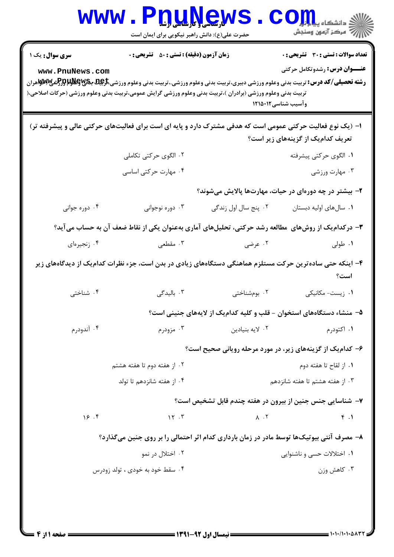|                                                                                                                                                                                                                                                                                                                        | <b>لارسى ( بارلىلى اربى</b><br>حضرت علی(ع): دانش راهبر نیکویی برای ایمان است |                        | ≤ دانشڪاه پ <b>يا بات<mark>ر</mark>:</b><br>رِ آرمون وسنڊش                                                 |  |
|------------------------------------------------------------------------------------------------------------------------------------------------------------------------------------------------------------------------------------------------------------------------------------------------------------------------|------------------------------------------------------------------------------|------------------------|------------------------------------------------------------------------------------------------------------|--|
| <b>سری سوال :</b> یک ۱<br>www.PnuNews.com<br><b>رشته تحصیلی/کد درس:</b> تربیت بدنی وعلوم ورزشی دبیری،تربیت بدنی وعلوم ورزشی.،تربیت بدنی وعلوم ورزشی <del>،تارپهای پایالولالوراک</del> شی پایالولای بایا<br>تربیت بدنی وعلوم ورزشی (برادران )،تربیت بدنی وعلوم ورزشی گرایش عمومی،تربیت بدنی وعلوم ورزشی (حرکات اصلاحی،( | <b>زمان آزمون (دقیقه) : تستی : 50 ٪ تشریحی : 0</b>                           |                        | <b>تعداد سوالات : تستی : 30 ٪ تشریحی : 0</b><br><b>عنـــوان درس:</b> رشدوتکامل حرکتی<br>وآسیب شناسی۱۲۱۵۰۱۲ |  |
| ۱– (یک نوع فعالیت حرکتی عمومی است که هدفی مشترک دارد و پایه ای است برای فعالیتهای حرکتی عالی و پیشرفته تر)                                                                                                                                                                                                             |                                                                              |                        | تعریف کدامیک از گزینههای زیر است؟                                                                          |  |
|                                                                                                                                                                                                                                                                                                                        | ۲. الگوی حرکتی تکاملی<br>۰۴ مهارت حرکتی اساسی                                |                        | ۰۱ الگوی حرکتی پیشرفته<br>۰۳ مهارت ورزشی                                                                   |  |
|                                                                                                                                                                                                                                                                                                                        |                                                                              |                        | ۲- بیشتر در چه دورهای در حیات، مهارتها پالایش میشوند؟                                                      |  |
| ۰۴ دوره جوانی                                                                                                                                                                                                                                                                                                          | ۰۳ دوره نوجوانی                                                              | ۰۲ پنج سال اول زندگی   | ۰۱ سال های اولیه دبستان                                                                                    |  |
| ۳- درکدام یک از روشهای ًمطالعه رشد حرکتی، تحلیلهای آماری بهعنوان یکی از نقاط ضعف آن به حساب می آید؟                                                                                                                                                                                                                    |                                                                              |                        |                                                                                                            |  |
| ۰۴ زنجيرهاي                                                                                                                                                                                                                                                                                                            | ۰۳ مقطعی                                                                     | ۰۲ عرضی                | ۰۱ طولی                                                                                                    |  |
| ۴– اینکه حتی ساده ترین حرکت مستلزم هماهنگی دستگاههای زیادی در بدن است، جزء نظرات کدامیک از دیدگاههای زیر<br>است؟                                                                                                                                                                                                       |                                                                              |                        |                                                                                                            |  |
| ۰۴ شناختی                                                                                                                                                                                                                                                                                                              | ۰۳ بالیدگی                                                                   | ۰۲ بومشناختی           | ۰۱ زیست- مکانیکی                                                                                           |  |
|                                                                                                                                                                                                                                                                                                                        |                                                                              |                        | ۵– منشاء دستگاههای استخوان – قلب و کلیه کدامیک از لایههای جنینی است؟                                       |  |
| ۰۴ آندودرم                                                                                                                                                                                                                                                                                                             | ۰۳ مزودرم                                                                    | ۰۲ لایه بنیادین        | ۰۱ اکتودرم                                                                                                 |  |
|                                                                                                                                                                                                                                                                                                                        |                                                                              |                        | ۶- کدام یک از گزینههای زیر، در مورد مرحله رویانی صحیح است؟                                                 |  |
| ۰۲ از هفته دوم تا هفته هشتم                                                                                                                                                                                                                                                                                            |                                                                              | ۰۱ از لقاح تا هفته دوم |                                                                                                            |  |
| ۰۴ از هفته شانزدهم تا تولد                                                                                                                                                                                                                                                                                             |                                                                              |                        | ۰۳ از هفته هشتم تا هفته شانزدهم                                                                            |  |
|                                                                                                                                                                                                                                                                                                                        |                                                                              |                        | ۷– شناسایی جنس جنین از بیرون در هفته چندم قابل تشخیص است؟                                                  |  |
| 18.9                                                                                                                                                                                                                                                                                                                   | 15.7                                                                         | $\Lambda$ . $\Upsilon$ | f.                                                                                                         |  |
|                                                                                                                                                                                                                                                                                                                        |                                                                              |                        | ۸– مصرف آنتی بیوتیکها توسط مادر در زمان بارداری کدام اثر احتمالی را بر روی جنین میگذارد؟                   |  |
|                                                                                                                                                                                                                                                                                                                        | ۰۲ اختلال در نمو                                                             |                        | ۰۱ اختلالات حسی و ناشنوایی                                                                                 |  |
|                                                                                                                                                                                                                                                                                                                        | ۰۴ سقط خود به خودی ، تولد زودرس                                              |                        | ۰۳ کاهش وزن                                                                                                |  |
|                                                                                                                                                                                                                                                                                                                        |                                                                              |                        |                                                                                                            |  |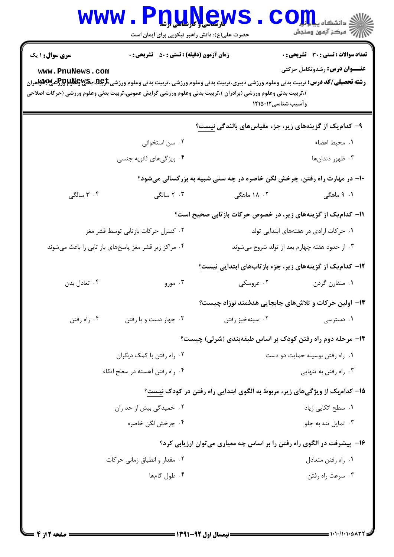|                                                                                                                                                                                                                                                                                                                       | ا کارساسی و <del>تارشاسی ارشا</del><br>حضرت علی(ع): دانش راهبر نیکویی برای ایمان است |                                                                         | د دانشکاه پ <b>یا با تار</b><br>ر آھي سنڌ آزمون وسنڊش                                |  |  |
|-----------------------------------------------------------------------------------------------------------------------------------------------------------------------------------------------------------------------------------------------------------------------------------------------------------------------|--------------------------------------------------------------------------------------|-------------------------------------------------------------------------|--------------------------------------------------------------------------------------|--|--|
| <b>سری سوال : ۱ یک</b><br>www.PnuNews.com<br><b>رشته تحصیلی/کد درس:</b> تربیت بدنی وعلوم ورزشی دبیری،تربیت بدنی وعلوم ورزشی.،تربیت بدنی وعلوم ورزشی <b>تاپین بی پیلاپاتور</b> {ش <b>ی∨لاپ</b> {یا مران<br>)،تربیت بدنی وعلوم ورزشی (برادران )،تربیت بدنی وعلوم ورزشی گرایش عمومی،تربیت بدنی وعلوم ورزشی (حرکات اصلاحی | <b>زمان آزمون (دقیقه) : تستی : 50 ٪ تشریحی : 0</b>                                   | وآسيب شناسي12151 1                                                      | <b>تعداد سوالات : تستی : 30 ٪ تشریحی : 0</b><br><b>عنـــوان درس:</b> رشدوتکامل حرکتی |  |  |
|                                                                                                                                                                                                                                                                                                                       |                                                                                      | ۹- کدامیک از گزینههای زیر، جزء مقیاسهای بالندگی نیست؟                   |                                                                                      |  |  |
|                                                                                                                                                                                                                                                                                                                       | ۰۲ سن استخوانی                                                                       |                                                                         | ٠١ محيط اعضاء                                                                        |  |  |
|                                                                                                                                                                                                                                                                                                                       | ۰۴ ویژگیهای ثانویه جنسی                                                              |                                                                         | ۰۳ ظهور دندانها                                                                      |  |  |
|                                                                                                                                                                                                                                                                                                                       |                                                                                      | ∙۱- در مهارت راه رفتن، چرخش لگن خاصره در چه سنی شبیه به بزرگسالی میشود؟ |                                                                                      |  |  |
| ۰۴ سالگی                                                                                                                                                                                                                                                                                                              | ۲ ۰ سالگی $\cdot$                                                                    | ۰۲ ، ۱۸ ماهگی                                                           | ۰۱ ۹ ماهگی                                                                           |  |  |
|                                                                                                                                                                                                                                                                                                                       |                                                                                      | 11- کدام یک از گزینههای زیر، در خصوص حرکات بازتابی صحیح است؟            |                                                                                      |  |  |
|                                                                                                                                                                                                                                                                                                                       | ۰۲ کنترل حرکات بازتابی توسط قشر مغز                                                  |                                                                         | ۰۱ حرکات ارادی در هفتههای ابتدایی تولد                                               |  |  |
| ۰۴ مراکز زیر قشر مغز پاسخهای باز تابی را باعث میشوند                                                                                                                                                                                                                                                                  |                                                                                      | ۰۳ از حدود هفته چهارم بعد از تولد شروع میشوند                           |                                                                                      |  |  |
|                                                                                                                                                                                                                                                                                                                       |                                                                                      | ۱۲- کدامیک از گزینههای زیر، جزء بازتابهای ابتدایی نیست؟                 |                                                                                      |  |  |
| ۰۴ تعادل بدن                                                                                                                                                                                                                                                                                                          | ۰۳ مورو                                                                              | ۰۲ عروسکی                                                               | ٠١ متقارن گردن                                                                       |  |  |
|                                                                                                                                                                                                                                                                                                                       |                                                                                      |                                                                         | ۱۳– اولین حرکات و تلاشهای جابجایی هدفمند نوزاد چیست؟                                 |  |  |
| ۰۴ راه رفتن                                                                                                                                                                                                                                                                                                           | ۰۳ چهار دست و یا رفتن                                                                | ۰۲ سینهخیز رفتن                                                         | ۰۱ دسترسی                                                                            |  |  |
|                                                                                                                                                                                                                                                                                                                       |                                                                                      |                                                                         | ۱۴- مرحله دوم راه رفتن کودک بر اساس طبقهبندی (شرلی) چیست؟                            |  |  |
|                                                                                                                                                                                                                                                                                                                       | ۰۲ راه رفتن با کمک دیگران                                                            | ٠١ راه رفتن بوسيله حمايت دو دست                                         |                                                                                      |  |  |
| ۰۴ راه رفتن آهسته در سطح اتکاء                                                                                                                                                                                                                                                                                        |                                                                                      | ا راه رفتن به تنهایی $\cdot$ ۳                                          |                                                                                      |  |  |
|                                                                                                                                                                                                                                                                                                                       |                                                                                      |                                                                         | ۱۵– کدامیک از ویژگیهای زیر، مربوط به الگوی ابتدایی راه رفتن در کودک نیست؟            |  |  |
| ۰۲ خمیدگی بیش از حد ران                                                                                                                                                                                                                                                                                               |                                                                                      | ۰۱ سطح اتکایی زیاد                                                      |                                                                                      |  |  |
|                                                                                                                                                                                                                                                                                                                       | ۰۴ چرخش لگن خاصره                                                                    |                                                                         | ۰۳ تمایل تنه به جلو                                                                  |  |  |
|                                                                                                                                                                                                                                                                                                                       | ۱۶- پیشرفت در الگوی راه رفتن را بر اساس چه معیاری می توان ارزیابی کرد؟               |                                                                         |                                                                                      |  |  |
|                                                                                                                                                                                                                                                                                                                       | ۰۲ مقدار و انطباق زمانی حرکات                                                        |                                                                         | ٠١ راه رفتن متعادل                                                                   |  |  |
|                                                                                                                                                                                                                                                                                                                       | ۰۴ طول گامها                                                                         |                                                                         | ۰۳ سرعت راه رفتن                                                                     |  |  |
|                                                                                                                                                                                                                                                                                                                       |                                                                                      |                                                                         |                                                                                      |  |  |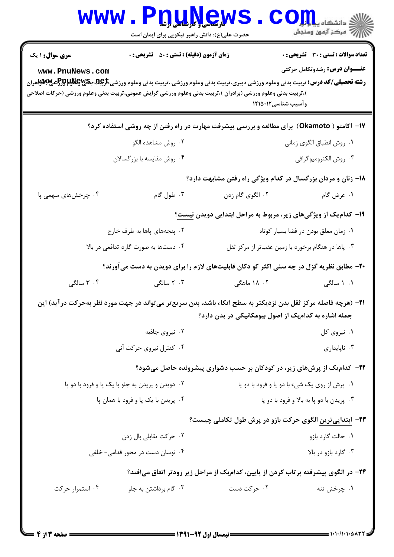|                                      | حضرت علی(ع): دانش راهبر نیکویی برای ایمان است      | www.PnuNews                                                                                                                                                                                                                                                                                   | الاد دانشگاه پیاه <mark>بر</mark><br>ا <mark>ر</mark> ا⇔ مرکز آزمهن وسنجش |  |
|--------------------------------------|----------------------------------------------------|-----------------------------------------------------------------------------------------------------------------------------------------------------------------------------------------------------------------------------------------------------------------------------------------------|---------------------------------------------------------------------------|--|
| <b>سری سوال : ۱ یک</b>               | <b>زمان آزمون (دقیقه) : تستی : 50 ٪ تشریحی : 0</b> |                                                                                                                                                                                                                                                                                               | <b>تعداد سوالات : تستی : 30 ٪ تشریحی : 0</b>                              |  |
| www.PnuNews.com                      |                                                    | <b>رشته تحصیلی/کد درس:</b> تربیت بدنی وعلوم ورزشی دبیری،تربیت بدنی وعلوم ورزشی.،تربیت بدنی وعلوم ورزشی، <del>ترپایا باگلیا باکلوا براز شی بالای</del> می<br>)،تربیت بدنی وعلوم ورزشی (برادران )،تربیت بدنی وعلوم ورزشی گرایش عمومی،تربیت بدنی وعلوم ورزشی (حرکات اصلاحی<br>وآسيب شناسي1215 12 | <b>عنـــوان درس:</b> رشدوتکامل حرکتی                                      |  |
|                                      |                                                    | ۱۷- آکامتو ( Okamoto)  برای مطالعه و بررسی پیشرفت مهارت در راه رفتن از چه روشی استفاده کرد؟                                                                                                                                                                                                   |                                                                           |  |
|                                      | ۰۲ روش مشاهده الگو                                 |                                                                                                                                                                                                                                                                                               | ٠١ روش انطباق الگوي زماني                                                 |  |
|                                      | ۰۴ روش مقايسه با بزرگسالان                         |                                                                                                                                                                                                                                                                                               | ۰۳ روش الكتروميوگرافي                                                     |  |
|                                      |                                                    | 18- زنان و مردان بزرگسال در کدام ویژگی راه رفتن مشابهت دارد؟                                                                                                                                                                                                                                  |                                                                           |  |
| ۰۴ چرخشهای سهمی پا                   | ۰۳ طول گام                                         | ۰۲ الگوی گام زدن                                                                                                                                                                                                                                                                              | ١. عرض گام                                                                |  |
|                                      |                                                    | ۱۹- کدامیک از ویژگیهای زیر، مربوط به مراحل ابتدایی دویدن نیست؟                                                                                                                                                                                                                                |                                                                           |  |
| ۰۲ پنجههای پاها به طرف خارج          |                                                    |                                                                                                                                                                                                                                                                                               | ۰۱ زمان معلق بودن در فضا بسیار کوتاه                                      |  |
| ۰۴ دستها به صورت گارد تدافعی در بالا |                                                    | ۰۳ پاها در هنگام برخورد با زمین عقبتر از مرکز ثقل                                                                                                                                                                                                                                             |                                                                           |  |
|                                      |                                                    | ۲۰- مطابق نظریه گزل در چه سنی اکثر کو دکان قابلیتهای لازم را برای دویدن به دست می آورند؟                                                                                                                                                                                                      |                                                                           |  |
| ۰۴ سالگی                             | ۰۳ سالگی                                           | ۰۲ . ۱۸ ماهگی                                                                                                                                                                                                                                                                                 | ۰۱ ۱ سالگی                                                                |  |
|                                      |                                                    | <b>۳۱</b> – (هرچه فاصله مرکز ثقل بدن نزدیکتر به سطح اتکاء باشد، بدن سریع تر می تواند در جهت مورد نظر بهحرکت در اید) این<br>جمله اشاره به کدامیک از اصول بیومکانیکی در بدن دارد؟                                                                                                               |                                                                           |  |
|                                      | ۰۲ نیروی جاذبه                                     |                                                                                                                                                                                                                                                                                               | ۰۱ نیروی کل                                                               |  |
|                                      | ۰۴ کنترل نیروی حرکت آنی                            |                                                                                                                                                                                                                                                                                               | ۰۳ ناپايدارى                                                              |  |
|                                      |                                                    | ۲۲– کدام یک از پرشهای زیر، در کودکان بر حسب دشواری پیشرونده حاصل میشود؟                                                                                                                                                                                                                       |                                                                           |  |
|                                      | ۰۲ دویدن و پریدن به جلو با یک پا و فرود با دو پا   | ۰۱ پرش از روی یک شیء با دو پا و فرود با دو پا                                                                                                                                                                                                                                                 |                                                                           |  |
| ۰۴ پریدن با یک پا و فرود با همان پا  |                                                    | ۰۳ پريدن با دو پا به بالا و فرود با دو پا                                                                                                                                                                                                                                                     |                                                                           |  |
|                                      |                                                    | ۲۳- ابتدایی ترین الگوی حرکت بازو در پرش طول تکاملی چیست؟                                                                                                                                                                                                                                      |                                                                           |  |
|                                      | ۰۲ حرکت تقابلی بال زدن                             |                                                                                                                                                                                                                                                                                               | ٠١ حالت گارد بازو                                                         |  |
| ۰۴ نوسان دست در محور قدامی- خلفی     |                                                    | ۰۳ گارد بازو در بالا                                                                                                                                                                                                                                                                          |                                                                           |  |
|                                      |                                                    | ۲۴– در الگوی پیشرفته پرتاب کردن از پایین، کدامیک از مراحل زیر زودتر اتفاق میافتد؟                                                                                                                                                                                                             |                                                                           |  |
| ۰۴ استمرار حرکت                      | ۰۳ گام برداشتن به جلو                              | ۰۲ حرکت دست                                                                                                                                                                                                                                                                                   | ۰۱ چرخش تنه                                                               |  |